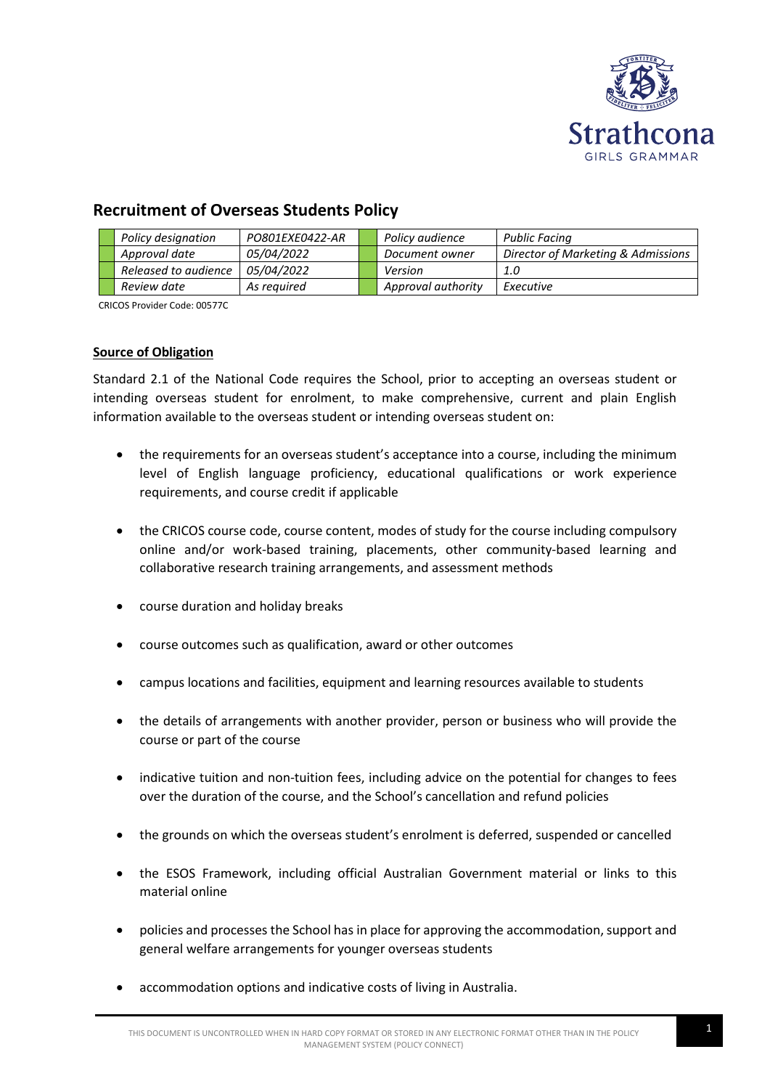

# **Recruitment of Overseas Students Policy**

|  | Policy designation   | PO801EXE0422-AR   | Policy audience    | <b>Public Facing</b>               |
|--|----------------------|-------------------|--------------------|------------------------------------|
|  | Approval date        | <i>05/04/2022</i> | Document owner     | Director of Marketing & Admissions |
|  | Released to audience | <i>05/04/2022</i> | Version            | 1.0                                |
|  | Review date          | As reauired       | Approval authority | Executive                          |

CRICOS Provider Code: 00577C

# **Source of Obligation**

Standard 2.1 of the National Code requires the School, prior to accepting an overseas student or intending overseas student for enrolment, to make comprehensive, current and plain English information available to the overseas student or intending overseas student on:

- the requirements for an overseas student's acceptance into a course, including the minimum level of English language proficiency, educational qualifications or work experience requirements, and course credit if applicable
- the CRICOS course code, course content, modes of study for the course including compulsory online and/or work-based training, placements, other community-based learning and collaborative research training arrangements, and assessment methods
- course duration and holiday breaks
- course outcomes such as qualification, award or other outcomes
- campus locations and facilities, equipment and learning resources available to students
- the details of arrangements with another provider, person or business who will provide the course or part of the course
- indicative tuition and non-tuition fees, including advice on the potential for changes to fees over the duration of the course, and the School's cancellation and refund policies
- the grounds on which the overseas student's enrolment is deferred, suspended or cancelled
- the ESOS Framework, including official Australian Government material or links to this material online
- policies and processes the School has in place for approving the accommodation, support and general welfare arrangements for younger overseas students
- accommodation options and indicative costs of living in Australia.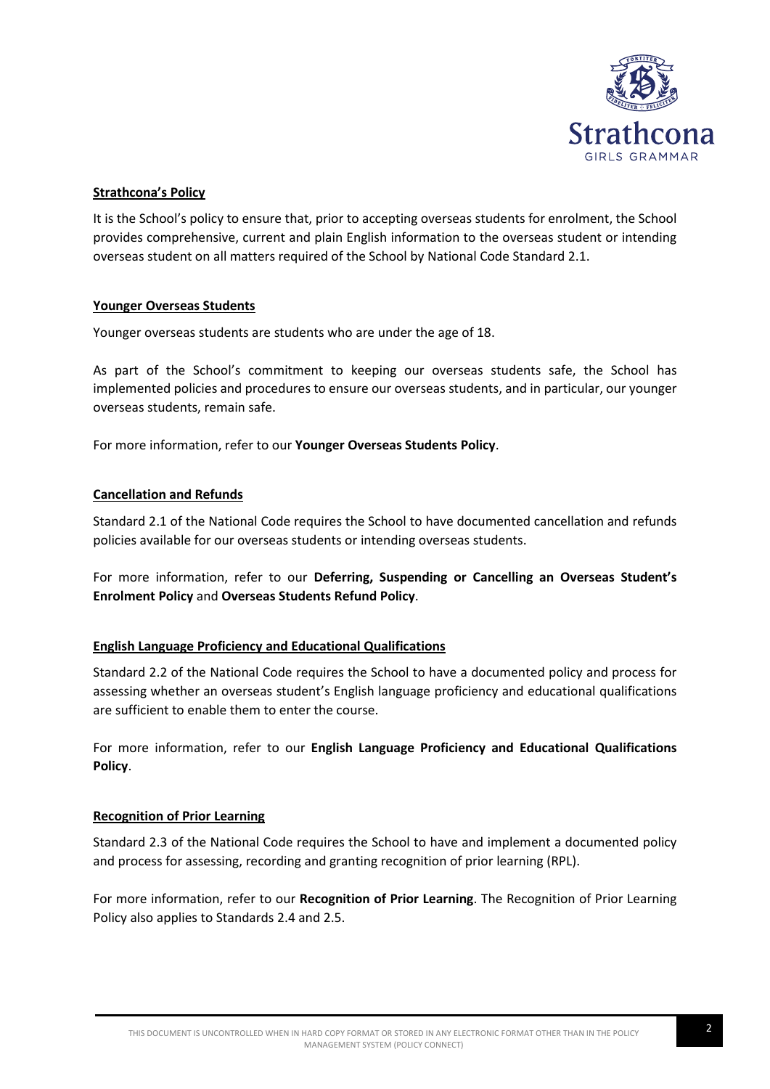

# **Strathcona's Policy**

It is the School's policy to ensure that, prior to accepting overseas students for enrolment, the School provides comprehensive, current and plain English information to the overseas student or intending overseas student on all matters required of the School by National Code Standard 2.1.

# **Younger Overseas Students**

Younger overseas students are students who are under the age of 18.

As part of the School's commitment to keeping our overseas students safe, the School has implemented policies and procedures to ensure our overseas students, and in particular, our younger overseas students, remain safe.

For more information, refer to our **Younger Overseas Students Policy**.

# **Cancellation and Refunds**

Standard 2.1 of the National Code requires the School to have documented cancellation and refunds policies available for our overseas students or intending overseas students.

For more information, refer to our **Deferring, Suspending or Cancelling an Overseas Student's Enrolment Policy** and **Overseas Students Refund Policy**.

## **English Language Proficiency and Educational Qualifications**

Standard 2.2 of the National Code requires the School to have a documented policy and process for assessing whether an overseas student's English language proficiency and educational qualifications are sufficient to enable them to enter the course.

For more information, refer to our **English Language Proficiency and Educational Qualifications Policy**.

## **Recognition of Prior Learning**

Standard 2.3 of the National Code requires the School to have and implement a documented policy and process for assessing, recording and granting recognition of prior learning (RPL).

For more information, refer to our **Recognition of Prior Learning**. The Recognition of Prior Learning Policy also applies to Standards 2.4 and 2.5.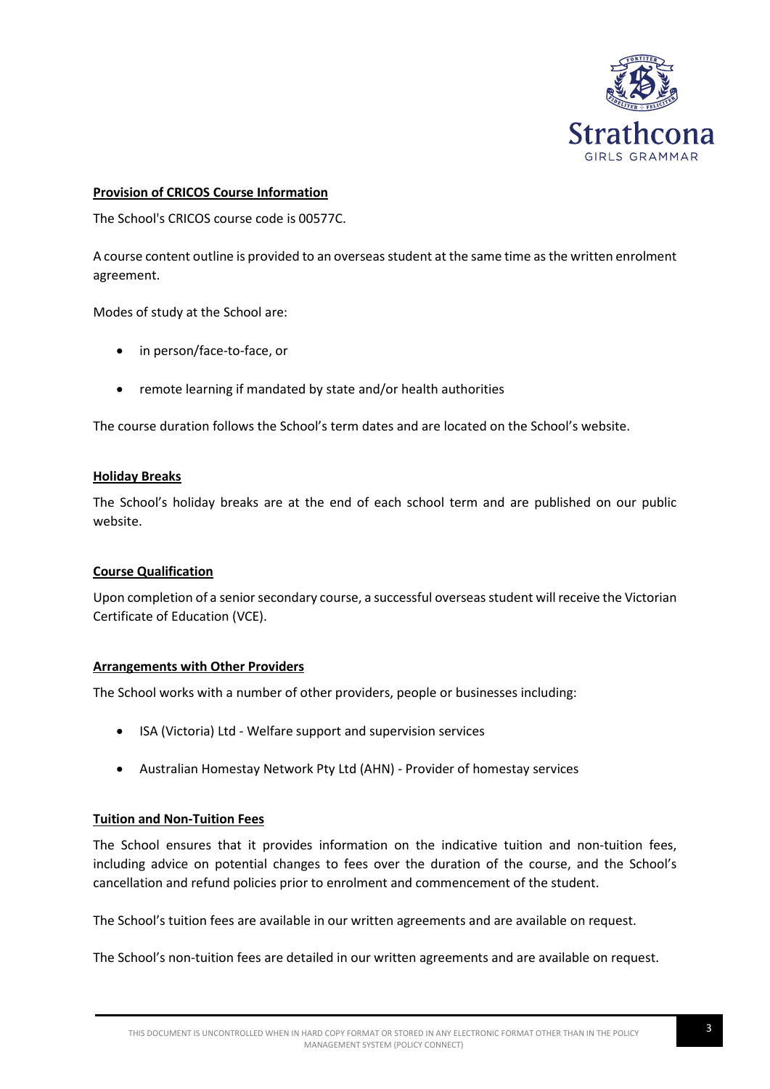

# **Provision of CRICOS Course Information**

The School's CRICOS course code is 00577C.

A course content outline is provided to an overseas student at the same time as the written enrolment agreement.

Modes of study at the School are:

- in person/face-to-face, or
- remote learning if mandated by state and/or health authorities

The course duration follows the School's term dates and are located on the School's website.

## **Holiday Breaks**

The School's holiday breaks are at the end of each school term and are published on our public website.

## **Course Qualification**

Upon completion of a senior secondary course, a successful overseas student will receive the Victorian Certificate of Education (VCE).

## **Arrangements with Other Providers**

The School works with a number of other providers, people or businesses including:

- ISA (Victoria) Ltd Welfare support and supervision services
- Australian Homestay Network Pty Ltd (AHN) Provider of homestay services

## **Tuition and Non-Tuition Fees**

The School ensures that it provides information on the indicative tuition and non-tuition fees, including advice on potential changes to fees over the duration of the course, and the School's cancellation and refund policies prior to enrolment and commencement of the student.

The School's tuition fees are available in our written agreements and are available on request.

The School's non-tuition fees are detailed in our written agreements and are available on request.